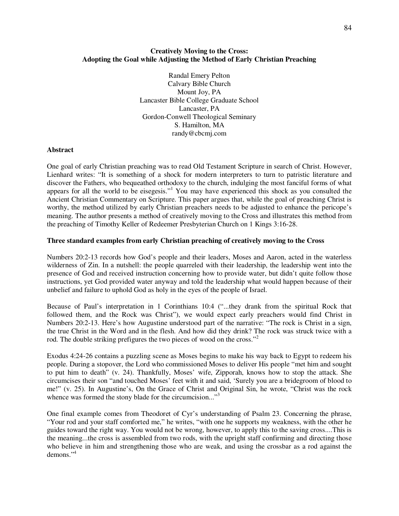# **Creatively Moving to the Cross: Adopting the Goal while Adjusting the Method of Early Christian Preaching**

Randal Emery Pelton Calvary Bible Church Mount Joy, PA Lancaster Bible College Graduate School Lancaster, PA Gordon-Conwell Theological Seminary S. Hamilton, MA randy@cbcmj.com

# **Abstract**

One goal of early Christian preaching was to read Old Testament Scripture in search of Christ. However, Lienhard writes: "It is something of a shock for modern interpreters to turn to patristic literature and discover the Fathers, who bequeathed orthodoxy to the church, indulging the most fanciful forms of what appears for all the world to be eisegesis."<sup>1</sup> You may have experienced this shock as you consulted the Ancient Christian Commentary on Scripture. This paper argues that, while the goal of preaching Christ is worthy, the method utilized by early Christian preachers needs to be adjusted to enhance the pericope's meaning. The author presents a method of creatively moving to the Cross and illustrates this method from the preaching of Timothy Keller of Redeemer Presbyterian Church on 1 Kings 3:16-28.

# **Three standard examples from early Christian preaching of creatively moving to the Cross**

Numbers 20:2-13 records how God's people and their leaders, Moses and Aaron, acted in the waterless wilderness of Zin. In a nutshell: the people quarreled with their leadership, the leadership went into the presence of God and received instruction concerning how to provide water, but didn't quite follow those instructions, yet God provided water anyway and told the leadership what would happen because of their unbelief and failure to uphold God as holy in the eyes of the people of Israel.

Because of Paul's interpretation in 1 Corinthians 10:4 ("...they drank from the spiritual Rock that followed them, and the Rock was Christ"), we would expect early preachers would find Christ in Numbers 20:2-13. Here's how Augustine understood part of the narrative: "The rock is Christ in a sign, the true Christ in the Word and in the flesh. And how did they drink? The rock was struck twice with a rod. The double striking prefigures the two pieces of wood on the cross."<sup>2</sup>

Exodus 4:24-26 contains a puzzling scene as Moses begins to make his way back to Egypt to redeem his people. During a stopover, the Lord who commissioned Moses to deliver His people "met him and sought to put him to death" (v. 24). Thankfully, Moses' wife, Zipporah, knows how to stop the attack. She circumcises their son "and touched Moses' feet with it and said, 'Surely you are a bridegroom of blood to me!" (v. 25). In Augustine's, On the Grace of Christ and Original Sin, he wrote, "Christ was the rock whence was formed the stony blade for the circumcision..."<sup>3</sup>

One final example comes from Theodoret of Cyr's understanding of Psalm 23. Concerning the phrase, "Your rod and your staff comforted me," he writes, "with one he supports my weakness, with the other he guides toward the right way. You would not be wrong, however, to apply this to the saving cross....This is the meaning...the cross is assembled from two rods, with the upright staff confirming and directing those who believe in him and strengthening those who are weak, and using the crossbar as a rod against the demons<sup>"4</sup>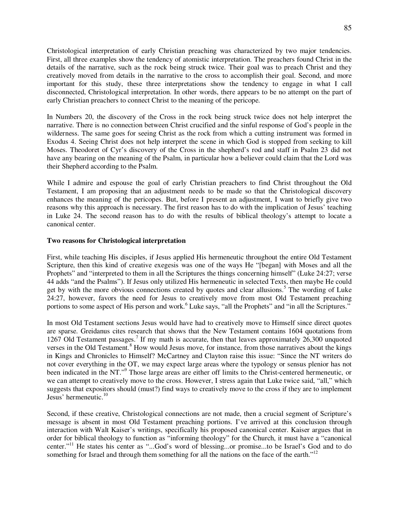Christological interpretation of early Christian preaching was characterized by two major tendencies. First, all three examples show the tendency of atomistic interpretation. The preachers found Christ in the details of the narrative, such as the rock being struck twice. Their goal was to preach Christ and they creatively moved from details in the narrative to the cross to accomplish their goal. Second, and more important for this study, these three interpretations show the tendency to engage in what I call disconnected, Christological interpretation. In other words, there appears to be no attempt on the part of early Christian preachers to connect Christ to the meaning of the pericope.

In Numbers 20, the discovery of the Cross in the rock being struck twice does not help interpret the narrative. There is no connection between Christ crucified and the sinful response of God's people in the wilderness. The same goes for seeing Christ as the rock from which a cutting instrument was formed in Exodus 4. Seeing Christ does not help interpret the scene in which God is stopped from seeking to kill Moses. Theodoret of Cyr's discovery of the Cross in the shepherd's rod and staff in Psalm 23 did not have any bearing on the meaning of the Psalm, in particular how a believer could claim that the Lord was their Shepherd according to the Psalm.

While I admire and espouse the goal of early Christian preachers to find Christ throughout the Old Testament, I am proposing that an adjustment needs to be made so that the Christological discovery enhances the meaning of the pericopes. But, before I present an adjustment, I want to briefly give two reasons why this approach is necessary. The first reason has to do with the implication of Jesus' teaching in Luke 24. The second reason has to do with the results of biblical theology's attempt to locate a canonical center.

# **Two reasons for Christological interpretation**

First, while teaching His disciples, if Jesus applied His hermeneutic throughout the entire Old Testament Scripture, then this kind of creative exegesis was one of the ways He "[began] with Moses and all the Prophets" and "interpreted to them in all the Scriptures the things concerning himself" (Luke 24:27; verse 44 adds "and the Psalms"). If Jesus only utilized His hermeneutic in selected Texts, then maybe He could get by with the more obvious connections created by quotes and clear allusions.<sup>5</sup> The wording of Luke 24:27, however, favors the need for Jesus to creatively move from most Old Testament preaching portions to some aspect of His person and work.<sup>6</sup> Luke says, "all the Prophets" and "in all the Scriptures."

In most Old Testament sections Jesus would have had to creatively move to Himself since direct quotes are sparse. Greidanus cites research that shows that the New Testament contains 1604 quotations from 1267 Old Testament passages.<sup>7</sup> If my math is accurate, then that leaves approximately 26,300 unquoted verses in the Old Testament.<sup>8</sup> How would Jesus move, for instance, from those narratives about the kings in Kings and Chronicles to Himself? McCartney and Clayton raise this issue: "Since the NT writers do not cover everything in the OT, we may expect large areas where the typology or sensus plenior has not been indicated in the NT."<sup>9</sup> Those large areas are either off limits to the Christ-centered hermeneutic, or we can attempt to creatively move to the cross. However, I stress again that Luke twice said, "all," which suggests that expositors should (must?) find ways to creatively move to the cross if they are to implement Jesus' hermeneutic.<sup>10</sup>

Second, if these creative, Christological connections are not made, then a crucial segment of Scripture's message is absent in most Old Testament preaching portions. I've arrived at this conclusion through interaction with Walt Kaiser's writings, specifically his proposed canonical center. Kaiser argues that in order for biblical theology to function as "informing theology" for the Church, it must have a "canonical center."<sup>11</sup> He states his center as "...God's word of blessing...or promise...to be Israel's God and to do something for Israel and through them something for all the nations on the face of the earth."<sup>12</sup>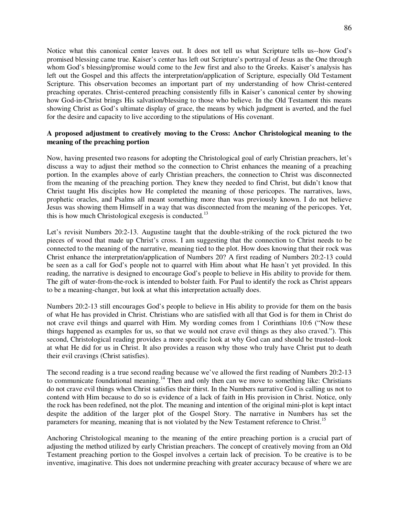Notice what this canonical center leaves out. It does not tell us what Scripture tells us--how God's promised blessing came true. Kaiser's center has left out Scripture's portrayal of Jesus as the One through whom God's blessing/promise would come to the Jew first and also to the Greeks. Kaiser's analysis has left out the Gospel and this affects the interpretation/application of Scripture, especially Old Testament Scripture. This observation becomes an important part of my understanding of how Christ-centered preaching operates. Christ-centered preaching consistently fills in Kaiser's canonical center by showing how God-in-Christ brings His salvation/blessing to those who believe. In the Old Testament this means showing Christ as God's ultimate display of grace, the means by which judgment is averted, and the fuel for the desire and capacity to live according to the stipulations of His covenant.

# **A proposed adjustment to creatively moving to the Cross: Anchor Christological meaning to the meaning of the preaching portion**

Now, having presented two reasons for adopting the Christological goal of early Christian preachers, let's discuss a way to adjust their method so the connection to Christ enhances the meaning of a preaching portion. In the examples above of early Christian preachers, the connection to Christ was disconnected from the meaning of the preaching portion. They knew they needed to find Christ, but didn't know that Christ taught His disciples how He completed the meaning of those pericopes. The narratives, laws, prophetic oracles, and Psalms all meant something more than was previously known. I do not believe Jesus was showing them Himself in a way that was disconnected from the meaning of the pericopes. Yet, this is how much Christological exegesis is conducted.<sup>13</sup>

Let's revisit Numbers 20:2-13. Augustine taught that the double-striking of the rock pictured the two pieces of wood that made up Christ's cross. I am suggesting that the connection to Christ needs to be connected to the meaning of the narrative, meaning tied to the plot. How does knowing that their rock was Christ enhance the interpretation/application of Numbers 20? A first reading of Numbers 20:2-13 could be seen as a call for God's people not to quarrel with Him about what He hasn't yet provided. In this reading, the narrative is designed to encourage God's people to believe in His ability to provide for them. The gift of water-from-the-rock is intended to bolster faith. For Paul to identify the rock as Christ appears to be a meaning-changer, but look at what this interpretation actually does.

Numbers 20:2-13 still encourages God's people to believe in His ability to provide for them on the basis of what He has provided in Christ. Christians who are satisfied with all that God is for them in Christ do not crave evil things and quarrel with Him. My wording comes from 1 Corinthians 10:6 ("Now these things happened as examples for us, so that we would not crave evil things as they also craved."). This second, Christological reading provides a more specific look at why God can and should be trusted--look at what He did for us in Christ. It also provides a reason why those who truly have Christ put to death their evil cravings (Christ satisfies).

The second reading is a true second reading because we've allowed the first reading of Numbers 20:2-13 to communicate foundational meaning.<sup>14</sup> Then and only then can we move to something like: Christians do not crave evil things when Christ satisfies their thirst. In the Numbers narrative God is calling us not to contend with Him because to do so is evidence of a lack of faith in His provision in Christ. Notice, only the rock has been redefined, not the plot. The meaning and intention of the original mini-plot is kept intact despite the addition of the larger plot of the Gospel Story. The narrative in Numbers has set the parameters for meaning, meaning that is not violated by the New Testament reference to Christ.<sup>15</sup>

Anchoring Christological meaning to the meaning of the entire preaching portion is a crucial part of adjusting the method utilized by early Christian preachers. The concept of creatively moving from an Old Testament preaching portion to the Gospel involves a certain lack of precision. To be creative is to be inventive, imaginative. This does not undermine preaching with greater accuracy because of where we are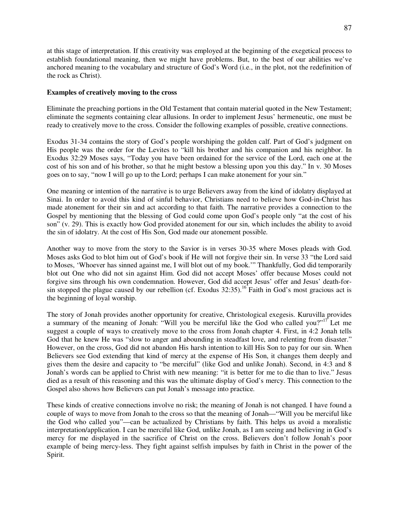at this stage of interpretation. If this creativity was employed at the beginning of the exegetical process to establish foundational meaning, then we might have problems. But, to the best of our abilities we've anchored meaning to the vocabulary and structure of God's Word (i.e., in the plot, not the redefinition of the rock as Christ).

### **Examples of creatively moving to the cross**

Eliminate the preaching portions in the Old Testament that contain material quoted in the New Testament; eliminate the segments containing clear allusions. In order to implement Jesus' hermeneutic, one must be ready to creatively move to the cross. Consider the following examples of possible, creative connections.

Exodus 31-34 contains the story of God's people worshiping the golden calf. Part of God's judgment on His people was the order for the Levites to "kill his brother and his companion and his neighbor. In Exodus 32:29 Moses says, "Today you have been ordained for the service of the Lord, each one at the cost of his son and of his brother, so that he might bestow a blessing upon you this day." In v. 30 Moses goes on to say, "now I will go up to the Lord; perhaps I can make atonement for your sin."

One meaning or intention of the narrative is to urge Believers away from the kind of idolatry displayed at Sinai. In order to avoid this kind of sinful behavior, Christians need to believe how God-in-Christ has made atonement for their sin and act according to that faith. The narrative provides a connection to the Gospel by mentioning that the blessing of God could come upon God's people only "at the cost of his son" (v. 29). This is exactly how God provided atonement for our sin, which includes the ability to avoid the sin of idolatry. At the cost of His Son, God made our atonement possible.

Another way to move from the story to the Savior is in verses 30-35 where Moses pleads with God. Moses asks God to blot him out of God's book if He will not forgive their sin. In verse 33 "the Lord said to Moses, 'Whoever has sinned against me, I will blot out of my book.'" Thankfully, God did temporarily blot out One who did not sin against Him. God did not accept Moses' offer because Moses could not forgive sins through his own condemnation. However, God did accept Jesus' offer and Jesus' death-forsin stopped the plague caused by our rebellion (cf. Exodus  $32:35$ ).<sup>16</sup> Faith in God's most gracious act is the beginning of loyal worship.

The story of Jonah provides another opportunity for creative, Christological exegesis. Kuruvilla provides a summary of the meaning of Jonah: "Will you be merciful like the God who called you?"<sup>17</sup> Let me suggest a couple of ways to creatively move to the cross from Jonah chapter 4. First, in 4:2 Jonah tells God that he knew He was "slow to anger and abounding in steadfast love, and relenting from disaster." However, on the cross, God did not abandon His harsh intention to kill His Son to pay for our sin. When Believers see God extending that kind of mercy at the expense of His Son, it changes them deeply and gives them the desire and capacity to "be merciful" (like God and unlike Jonah). Second, in 4:3 and 8 Jonah's words can be applied to Christ with new meaning: "it is better for me to die than to live." Jesus died as a result of this reasoning and this was the ultimate display of God's mercy. This connection to the Gospel also shows how Believers can put Jonah's message into practice.

These kinds of creative connections involve no risk; the meaning of Jonah is not changed. I have found a couple of ways to move from Jonah to the cross so that the meaning of Jonah—"Will you be merciful like the God who called you"—can be actualized by Christians by faith. This helps us avoid a moralistic interpretation/application. I can be merciful like God, unlike Jonah, as I am seeing and believing in God's mercy for me displayed in the sacrifice of Christ on the cross. Believers don't follow Jonah's poor example of being mercy-less. They fight against selfish impulses by faith in Christ in the power of the Spirit.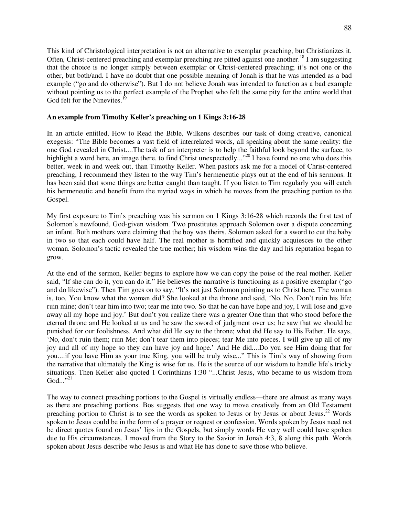This kind of Christological interpretation is not an alternative to exemplar preaching, but Christianizes it. Often, Christ-centered preaching and exemplar preaching are pitted against one another.<sup>18</sup> I am suggesting that the choice is no longer simply between exemplar or Christ-centered preaching; it's not one or the other, but both/and. I have no doubt that one possible meaning of Jonah is that he was intended as a bad example ("go and do otherwise"). But I do not believe Jonah was intended to function as a bad example without pointing us to the perfect example of the Prophet who felt the same pity for the entire world that God felt for the Ninevites. $<sup>1</sup>$ </sup>

# **An example from Timothy Keller's preaching on 1 Kings 3:16-28**

In an article entitled, How to Read the Bible, Wilkens describes our task of doing creative, canonical exegesis: "The Bible becomes a vast field of interrelated words, all speaking about the same reality: the one God revealed in Christ....The task of an interpreter is to help the faithful look beyond the surface, to highlight a word here, an image there, to find Christ unexpectedly..."<sup>20</sup> I have found no one who does this better, week in and week out, than Timothy Keller. When pastors ask me for a model of Christ-centered preaching, I recommend they listen to the way Tim's hermeneutic plays out at the end of his sermons. It has been said that some things are better caught than taught. If you listen to Tim regularly you will catch his hermeneutic and benefit from the myriad ways in which he moves from the preaching portion to the Gospel.

My first exposure to Tim's preaching was his sermon on 1 Kings 3:16-28 which records the first test of Solomon's newfound, God-given wisdom. Two prostitutes approach Solomon over a dispute concerning an infant. Both mothers were claiming that the boy was theirs. Solomon asked for a sword to cut the baby in two so that each could have half. The real mother is horrified and quickly acquiesces to the other woman. Solomon's tactic revealed the true mother; his wisdom wins the day and his reputation began to grow.

At the end of the sermon, Keller begins to explore how we can copy the poise of the real mother. Keller said, "If she can do it, you can do it." He believes the narrative is functioning as a positive exemplar ("go and do likewise"). Then Tim goes on to say, "It's not just Solomon pointing us to Christ here. The woman is, too. You know what the woman did? She looked at the throne and said, 'No. No. Don't ruin his life; ruin mine; don't tear him into two; tear me into two. So that he can have hope and joy, I will lose and give away all my hope and joy.' But don't you realize there was a greater One than that who stood before the eternal throne and He looked at us and he saw the sword of judgment over us; he saw that we should be punished for our foolishness. And what did He say to the throne; what did He say to His Father. He says, 'No, don't ruin them; ruin Me; don't tear them into pieces; tear Me into pieces. I will give up all of my joy and all of my hope so they can have joy and hope.' And He did....Do you see Him doing that for you....if you have Him as your true King, you will be truly wise..." This is Tim's way of showing from the narrative that ultimately the King is wise for us. He is the source of our wisdom to handle life's tricky situations. Then Keller also quoted 1 Corinthians 1:30 "...Christ Jesus, who became to us wisdom from  $\mathrm{God.} \cdot \cdot ^{,21}$ 

The way to connect preaching portions to the Gospel is virtually endless—there are almost as many ways as there are preaching portions. Bos suggests that one way to move creatively from an Old Testament preaching portion to Christ is to see the words as spoken to Jesus or by Jesus or about Jesus.<sup>22</sup> Words spoken to Jesus could be in the form of a prayer or request or confession. Words spoken by Jesus need not be direct quotes found on Jesus' lips in the Gospels, but simply words He very well could have spoken due to His circumstances. I moved from the Story to the Savior in Jonah 4:3, 8 along this path. Words spoken about Jesus describe who Jesus is and what He has done to save those who believe.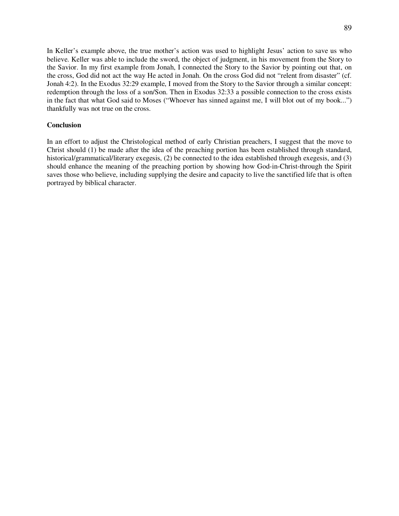In Keller's example above, the true mother's action was used to highlight Jesus' action to save us who believe. Keller was able to include the sword, the object of judgment, in his movement from the Story to the Savior. In my first example from Jonah, I connected the Story to the Savior by pointing out that, on the cross, God did not act the way He acted in Jonah. On the cross God did not "relent from disaster" (cf. Jonah 4:2). In the Exodus 32:29 example, I moved from the Story to the Savior through a similar concept: redemption through the loss of a son/Son. Then in Exodus 32:33 a possible connection to the cross exists in the fact that what God said to Moses ("Whoever has sinned against me, I will blot out of my book...") thankfully was not true on the cross.

#### **Conclusion**

In an effort to adjust the Christological method of early Christian preachers, I suggest that the move to Christ should (1) be made after the idea of the preaching portion has been established through standard, historical/grammatical/literary exegesis, (2) be connected to the idea established through exegesis, and (3) should enhance the meaning of the preaching portion by showing how God-in-Christ-through the Spirit saves those who believe, including supplying the desire and capacity to live the sanctified life that is often portrayed by biblical character.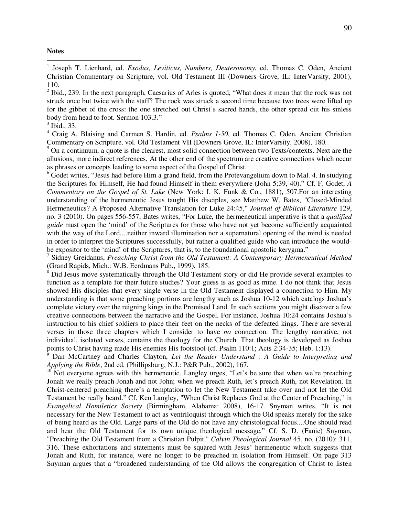#### **Notes**

 $\overline{a}$ 

<sup>1</sup> Joseph T. Lienhard, ed. *Exodus, Leviticus, Numbers, Deuteronomy*, ed. Thomas C. Oden, Ancient Christian Commentary on Scripture, vol. Old Testament III (Downers Grove, IL: InterVarsity, 2001), 110.

 $2$  Ibid., 239. In the next paragraph, Caesarius of Arles is quoted, "What does it mean that the rock was not struck once but twice with the staff? The rock was struck a second time because two trees were lifted up for the gibbet of the cross: the one stretched out Christ's sacred hands, the other spread out his sinless body from head to foot. Sermon 103.3."

4 Craig A. Blaising and Carmen S. Hardin, ed. *Psalms 1-50*, ed. Thomas C. Oden, Ancient Christian Commentary on Scripture, vol. Old Testament VII (Downers Grove, IL: InterVarsity, 2008), 180.

 $<sup>5</sup>$  On a continuum, a quote is the clearest, most solid connection between two Texts/contexts. Next are the</sup> allusions, more indirect references. At the other end of the spectrum are creative connections which occur as phrases or concepts leading to some aspect of the Gospel of Christ.

<sup>6</sup> Godet writes, "Jesus had before Him a grand field, from the Protevangelium down to Mal. 4. In studying the Scriptures for Himself, He had found Himself in them everywhere (John 5:39, 40)." Cf. F. Godet, *A Commentary on the Gospel of St. Luke* (New York: I. K. Funk & Co., 1881), 507.For an interesting understanding of the hermeneutic Jesus taught His disciples, see Matthew W. Bates, "Closed-Minded Hermeneutics? A Proposed Alternative Translation for Luke 24:45," *Journal of Biblical Literature* 129, no. 3 (2010). On pages 556-557, Bates writes, "For Luke, the hermeneutical imperative is that a *qualified guide* must open the 'mind' of the Scriptures for those who have not yet become sufficiently acquainted with the way of the Lord....neither inward illumination nor a supernatural opening of the mind is needed in order to interpret the Scriptures successfully, but rather a qualified guide who can introduce the wouldbe expositor to the 'mind' of the Scriptures, that is, to the foundational apostolic kerygma."

7 Sidney Greidanus, *Preaching Christ from the Old Testament: A Contemporary Hermeneutical Method* (Grand Rapids, Mich.: W.B. Eerdmans Pub., 1999), 185.

<sup>8</sup> Did Jesus move systematically through the Old Testament story or did He provide several examples to function as a template for their future studies? Your guess is as good as mine. I do not think that Jesus showed His disciples that every single verse in the Old Testament displayed a connection to Him. My understanding is that some preaching portions are lengthy such as Joshua 10-12 which catalogs Joshua's complete victory over the reigning kings in the Promised Land. In such sections you might discover a few creative connections between the narrative and the Gospel. For instance, Joshua 10:24 contains Joshua's instruction to his chief soldiers to place their feet on the necks of the defeated kings. There are several verses in those three chapters which I consider to have *no* connection. The lengthy narrative, not individual, isolated verses, contains the theology for the Church. That theology is developed as Joshua points to Christ having made His enemies His footstool (cf. Psalm 110:1; Acts 2:34-35; Heb. 1:13).<br><sup>9</sup> Dan McCertnov and Charles Clayton, Let the Bagder Understand : A Guide to Interpretin

 Dan McCartney and Charles Clayton, *Let the Reader Understand : A Guide to Interpreting and Applying the Bible*, 2nd ed. (Phillipsburg, N.J.: P&R Pub., 2002), 167.

 $10$  Not everyone agrees with this hermeneutic. Langley urges, "Let's be sure that when we're preaching Jonah we really preach Jonah and not John; when we preach Ruth, let's preach Ruth, not Revelation. In Christ-centered preaching there's a temptation to let the New Testament take over and not let the Old Testament be really heard." Cf. Ken Langley, "When Christ Replaces God at the Center of Preaching," in *Evangelical Homiletics Society* (Birmingham, Alabama: 2008), 16-17. Snyman writes, "It is not necessary for the New Testament to act as ventriloquist through which the Old speaks merely for the sake of being heard as the Old. Large parts of the Old do not have any christological focus....One should read and hear the Old Testament for its own unique theological message." Cf. S. D. (Fanie) Snyman, "Preaching the Old Testament from a Christian Pulpit," *Calvin Theological Journal* 45, no. (2010): 311, 316. These exhortations and statements must be squared with Jesus' hermeneutic which suggests that Jonah and Ruth, for instance, were no longer to be preached in isolation from Himself. On page 313 Snyman argues that a "broadened understanding of the Old allows the congregation of Christ to listen

<sup>3</sup> Ibid., 33.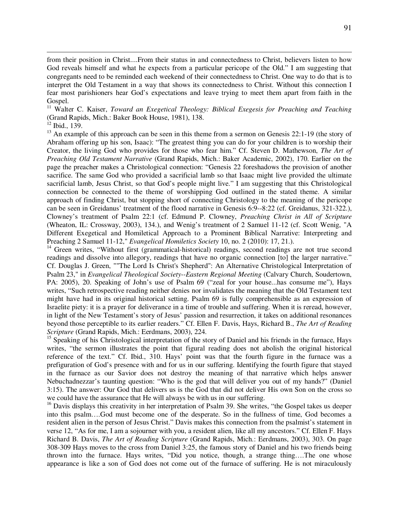from their position in Christ....From their status in and connectedness to Christ, believers listen to how God reveals himself and what he expects from a particular pericope of the Old." I am suggesting that congregants need to be reminded each weekend of their connectedness to Christ. One way to do that is to interpret the Old Testament in a way that shows its connectedness to Christ. Without this connection I fear most parishioners hear God's expectations and leave trying to meet them apart from faith in the Gospel.

<sup>11</sup> Walter C. Kaiser, *Toward an Exegetical Theology: Biblical Exegesis for Preaching and Teaching* (Grand Rapids, Mich.: Baker Book House, 1981), 138.

 $^{12}$  Ibid., 139.

 $\overline{a}$ 

 $13$  An example of this approach can be seen in this theme from a sermon on Genesis 22:1-19 (the story of Abraham offering up his son, Isaac): "The greatest thing you can do for your children is to worship their Creator, the living God who provides for those who fear him." Cf. Steven D. Mathewson, *The Art of Preaching Old Testament Narrative* (Grand Rapids, Mich.: Baker Academic, 2002), 170. Earlier on the page the preacher makes a Christological connection: "Genesis 22 foreshadows the provision of another sacrifice. The same God who provided a sacrificial lamb so that Isaac might live provided the ultimate sacrificial lamb, Jesus Christ, so that God's people might live." I am suggesting that this Christological connection be connected to the theme of worshipping God outlined in the stated theme. A similar approach of finding Christ, but stopping short of connecting Christology to the meaning of the pericope can be seen in Greidanus' treatment of the flood narrative in Genesis 6:9--8:22 (cf. Greidanus, 321-322.), Clowney's treatment of Psalm 22:1 (cf. Edmund P. Clowney, *Preaching Christ in All of Scripture* (Wheaton, IL: Crossway, 2003), 134.), and Wenig's treatment of 2 Samuel 11-12 (cf. Scott Wenig, "A Different Exegetical and Homiletical Approach to a Prominent Biblical Narrative: Interpreting and Preaching 2 Samuel 11-12," *Evangelical Homiletics Society* 10, no. 2 (2010): 17, 21.).

<sup>14</sup> Green writes, "Without first (grammatical-historical) readings, second readings are not true second readings and dissolve into allegory, readings that have no organic connection [to] the larger narrative." Cf. Douglas J. Green, ""The Lord Is Christ's Shepherd": An Alternative Christological Interpretation of Psalm 23," in *Evangelical Theological Society--Eastern Regional Meeting* (Calvary Church, Soudertown, PA: 2005), 20. Speaking of John's use of Psalm 69 ("zeal for your house...has consume me"), Hays writes, "Such retrospective reading neither denies nor invalidates the meaning that the Old Testament text might have had in its original historical setting. Psalm 69 is fully comprehensible as an expression of Israelite piety: it is a prayer for deliverance in a time of trouble and suffering. When it is reread, however, in light of the New Testament's story of Jesus' passion and resurrection, it takes on additional resonances beyond those perceptible to its earlier readers." Cf. Ellen F. Davis, Hays, Richard B., *The Art of Reading Scripture* (Grand Rapids, Mich.: Eerdmans, 2003), 224.

<sup>15</sup> Speaking of his Christological interpretation of the story of Daniel and his friends in the furnace, Hays writes, "the sermon illustrates the point that figural reading does not abolish the original historical reference of the text." Cf. Ibid., 310. Hays' point was that the fourth figure in the furnace was a prefiguration of God's presence with and for us in our suffering. Identifying the fourth figure that stayed in the furnace as our Savior does not destroy the meaning of that narrative which helps answer Nebuchadnezzar's taunting question: "Who is the god that will deliver you out of my hands?" (Daniel 3:15). The answer: Our God that delivers us is the God that did not deliver His own Son on the cross so we could have the assurance that He will always be with us in our suffering.

<sup>16</sup> Davis displays this creativity in her interpretation of Psalm 39. She writes, "the Gospel takes us deeper into this psalm….God must become one of the desperate. So in the fullness of time, God becomes a resident alien in the person of Jesus Christ." Davis makes this connection from the psalmist's statement in verse 12, "As for me, I am a sojourner with you, a resident alien, like all my ancestors." Cf. Ellen F. Hays Richard B. Davis, *The Art of Reading Scripture* (Grand Rapids, Mich.: Eerdmans, 2003), 303. On page 308-309 Hays moves to the cross from Daniel 3:25, the famous story of Daniel and his two friends being thrown into the furnace. Hays writes, "Did you notice, though, a strange thing….The one whose appearance is like a son of God does not come out of the furnace of suffering. He is not miraculously